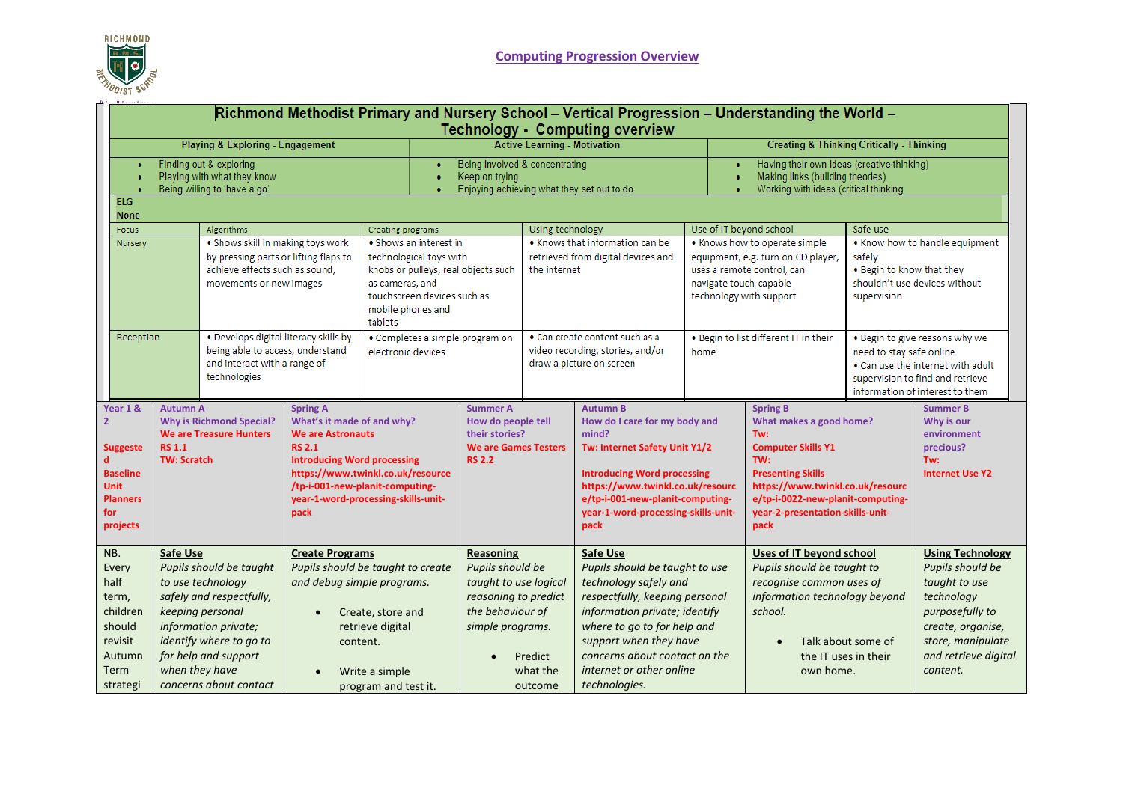

|                                                                                                      | Richmond Methodist Primary and Nursery School - Vertical Progression - Understanding the World -<br><b>Technology - Computing overview</b> |                                                        |                                                                                                                                                                                                   |                                                                                                                                          |                                                                                                                                                                                                        |                                                                                                                        |                                                                                                           |                                                                                                                                                                                                                                                                                      |                                                                                                                                                                                   |                                                                                                                                                                        |                                                                                                                                                                                                                                        |                                                                 |                                                                                                                                                                             |
|------------------------------------------------------------------------------------------------------|--------------------------------------------------------------------------------------------------------------------------------------------|--------------------------------------------------------|---------------------------------------------------------------------------------------------------------------------------------------------------------------------------------------------------|------------------------------------------------------------------------------------------------------------------------------------------|--------------------------------------------------------------------------------------------------------------------------------------------------------------------------------------------------------|------------------------------------------------------------------------------------------------------------------------|-----------------------------------------------------------------------------------------------------------|--------------------------------------------------------------------------------------------------------------------------------------------------------------------------------------------------------------------------------------------------------------------------------------|-----------------------------------------------------------------------------------------------------------------------------------------------------------------------------------|------------------------------------------------------------------------------------------------------------------------------------------------------------------------|----------------------------------------------------------------------------------------------------------------------------------------------------------------------------------------------------------------------------------------|-----------------------------------------------------------------|-----------------------------------------------------------------------------------------------------------------------------------------------------------------------------|
|                                                                                                      |                                                                                                                                            |                                                        | <b>Playing &amp; Exploring - Engagement</b>                                                                                                                                                       |                                                                                                                                          |                                                                                                                                                                                                        |                                                                                                                        | <b>Active Learning - Motivation</b>                                                                       |                                                                                                                                                                                                                                                                                      |                                                                                                                                                                                   |                                                                                                                                                                        | <b>Creating &amp; Thinking Critically - Thinking</b>                                                                                                                                                                                   |                                                                 |                                                                                                                                                                             |
| Finding out & exploring<br>Playing with what they know<br>Being willing to 'have a go'<br><b>ELG</b> |                                                                                                                                            |                                                        |                                                                                                                                                                                                   | ٠<br>٠                                                                                                                                   | Being involved & concentrating<br>Keep on trying<br>Enjoying achieving what they set out to do                                                                                                         |                                                                                                                        |                                                                                                           |                                                                                                                                                                                                                                                                                      | Having their own ideas (creative thinking)<br>Making links (building theories)<br>Working with ideas (critical thinking                                                           |                                                                                                                                                                        |                                                                                                                                                                                                                                        |                                                                 |                                                                                                                                                                             |
|                                                                                                      | <b>None</b>                                                                                                                                |                                                        |                                                                                                                                                                                                   |                                                                                                                                          |                                                                                                                                                                                                        |                                                                                                                        |                                                                                                           |                                                                                                                                                                                                                                                                                      |                                                                                                                                                                                   |                                                                                                                                                                        |                                                                                                                                                                                                                                        |                                                                 |                                                                                                                                                                             |
| Focus<br>Nursery                                                                                     |                                                                                                                                            |                                                        | Algorithms<br>. Shows skill in making toys work<br>by pressing parts or lifting flaps to<br>achieve effects such as sound.<br>movements or new images                                             |                                                                                                                                          | <b>Creating programs</b><br>. Shows an interest in<br>technological toys with<br>knobs or pulleys, real objects such<br>as cameras, and<br>touchscreen devices such as<br>mobile phones and<br>tablets |                                                                                                                        | Using technology<br>. Knows that information can be<br>retrieved from digital devices and<br>the internet |                                                                                                                                                                                                                                                                                      | Use of IT beyond school<br>. Knows how to operate simple<br>equipment, e.g. turn on CD player,<br>uses a remote control, can<br>navigate touch-capable<br>technology with support |                                                                                                                                                                        | Safe use<br>safely<br>. Begin to know that they<br>supervision                                                                                                                                                                         | . Know how to handle equipment<br>shouldn't use devices without |                                                                                                                                                                             |
|                                                                                                      | . Develops digital literacy skills by<br>Reception<br>being able to access, understand<br>and interact with a range of<br>technologies     |                                                        | electronic devices                                                                                                                                                                                | • Completes a simple program on                                                                                                          |                                                                                                                                                                                                        | · Can create content such as a<br>video recording, stories, and/or<br>draw a picture on screen                         |                                                                                                           | . Begin to list different IT in their<br>home                                                                                                                                                                                                                                        |                                                                                                                                                                                   | . Begin to give reasons why we<br>need to stay safe online<br>. Can use the internet with adult<br>supervision to find and retrieve<br>information of interest to them |                                                                                                                                                                                                                                        |                                                                 |                                                                                                                                                                             |
| $\overline{2}$<br>$\mathbf d$<br>for                                                                 | Year 1 &<br><b>Suggeste</b><br><b>Baseline</b><br><b>Unit</b><br><b>Planners</b><br>projects                                               | <b>Autumn A</b><br><b>RS 1.1</b><br><b>TW: Scratch</b> | <b>Why is Richmond Special?</b><br><b>We are Treasure Hunters</b>                                                                                                                                 | <b>Spring A</b><br>What's it made of and why?<br><b>We are Astronauts</b><br><b>RS 2.1</b><br><b>Introducing Word processing</b><br>pack | https://www.twinkl.co.uk/resource<br>/tp-i-001-new-planit-computing-<br>year-1-word-processing-skills-unit-                                                                                            | <b>Summer A</b><br>How do people tell<br>their stories?<br><b>We are Games Testers</b><br><b>RS 2.2</b>                |                                                                                                           | <b>Autumn B</b><br>How do I care for my body and<br>mind?<br>Tw: Internet Safety Unit Y1/2<br><b>Introducing Word processing</b><br>https://www.twinkl.co.uk/resourc<br>e/tp-i-001-new-planit-computing-<br>year-1-word-processing-skills-unit-<br>pack                              |                                                                                                                                                                                   |                                                                                                                                                                        | <b>Spring B</b><br>What makes a good home?<br>Tw:<br><b>Computer Skills Y1</b><br>TW:<br><b>Presenting Skills</b><br>https://www.twinkl.co.uk/resourc<br>e/tp-i-0022-new-planit-computing-<br>year-2-presentation-skills-unit-<br>pack |                                                                 | <b>Summer B</b><br>Why is our<br>environment<br>precious?<br>Tw:<br><b>Internet Use Y2</b>                                                                                  |
| NB.                                                                                                  | Every<br>half<br>term,<br>children<br>should<br>revisit<br>Autumn<br>Term<br>strategi                                                      | Safe Use<br>when they have                             | Pupils should be taught<br>to use technology<br>safely and respectfully,<br>keeping personal<br>information private;<br>identify where to go to<br>for help and support<br>concerns about contact | <b>Create Programs</b><br>and debug simple programs.<br>content.                                                                         | Pupils should be taught to create<br>Create, store and<br>retrieve digital<br>Write a simple<br>program and test it.                                                                                   | Reasoning<br>Pupils should be<br>taught to use logical<br>reasoning to predict<br>the behaviour of<br>simple programs. | Predict<br>what the<br>outcome                                                                            | <b>Safe Use</b><br>Pupils should be taught to use<br>technology safely and<br>respectfully, keeping personal<br>information private; identify<br>where to go to for help and<br>support when they have<br>concerns about contact on the<br>internet or other online<br>technologies. |                                                                                                                                                                                   |                                                                                                                                                                        | Uses of IT beyond school<br>Pupils should be taught to<br>recognise common uses of<br>information technology beyond<br>school.<br>the IT uses in their<br>own home.                                                                    | Talk about some of                                              | <b>Using Technology</b><br>Pupils should be<br>taught to use<br>technology<br>purposefully to<br>create, organise,<br>store, manipulate<br>and retrieve digital<br>content. |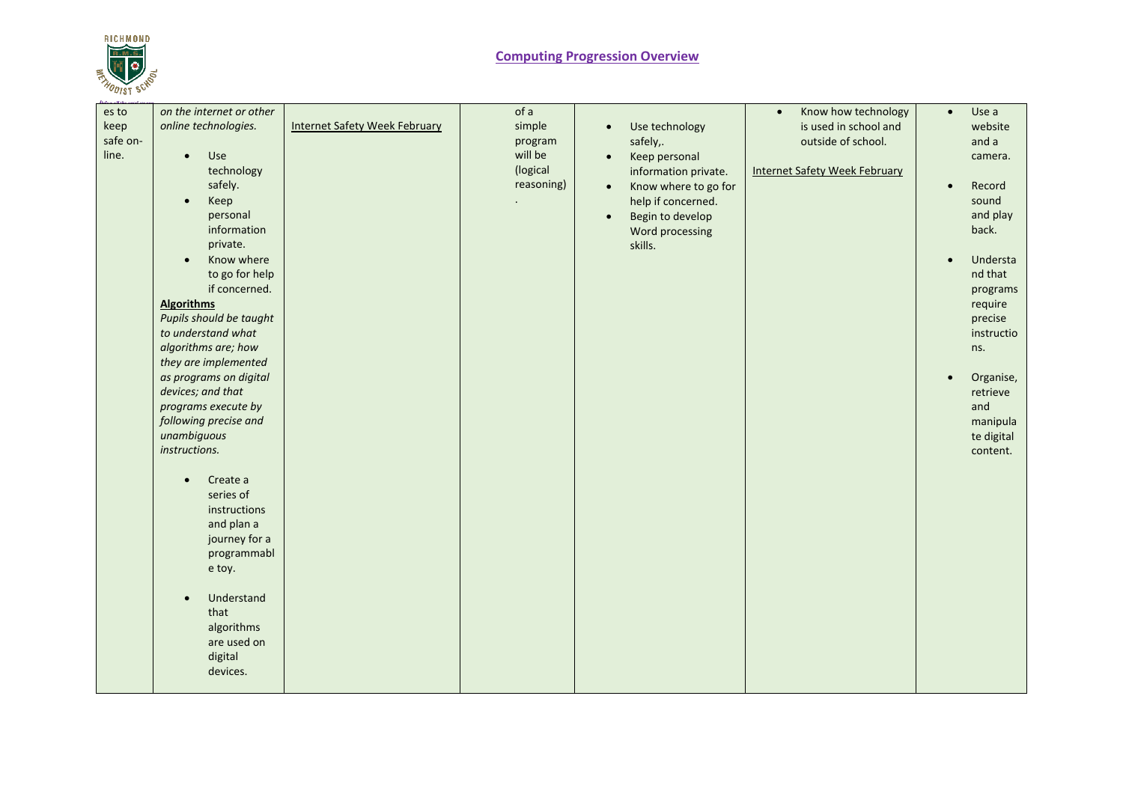

| es to<br>keep<br>safe on-<br>line. | on the internet or other<br>online technologies.<br>Use<br>$\bullet$<br>technology<br>safely.<br>Keep<br>$\bullet$<br>personal<br>information<br>private.<br>Know where<br>$\bullet$<br>to go for help<br>if concerned.<br><b>Algorithms</b><br>Pupils should be taught<br>to understand what<br>algorithms are; how<br>they are implemented<br>as programs on digital<br>devices; and that<br>programs execute by<br>following precise and<br>unambiguous<br>instructions.<br>Create a<br>$\bullet$<br>series of<br>instructions<br>and plan a<br>journey for a<br>programmabl<br>e toy.<br>Understand<br>$\bullet$<br>that<br>algorithms<br>are used on<br>digital<br>devices. | <b>Internet Safety Week February</b> | of a<br>simple<br>program<br>will be<br>(logical<br>reasoning) | Use technology<br>$\bullet$<br>safely,.<br>Keep personal<br>$\bullet$<br>information private.<br>Know where to go for<br>$\bullet$<br>help if concerned.<br>Begin to develop<br>$\bullet$<br>Word processing<br>skills. | Know how technology<br>$\bullet$<br>is used in school and<br>outside of school.<br><b>Internet Safety Week February</b> | Use a<br>$\bullet$<br>website<br>and a<br>camera.<br>Record<br>$\bullet$<br>sound<br>and play<br>back.<br>Understa<br>$\bullet$<br>nd that<br>programs<br>require<br>precise<br>instructio<br>ns.<br>Organise,<br>$\bullet$<br>retrieve<br>and<br>manipula<br>te digital<br>content. |
|------------------------------------|----------------------------------------------------------------------------------------------------------------------------------------------------------------------------------------------------------------------------------------------------------------------------------------------------------------------------------------------------------------------------------------------------------------------------------------------------------------------------------------------------------------------------------------------------------------------------------------------------------------------------------------------------------------------------------|--------------------------------------|----------------------------------------------------------------|-------------------------------------------------------------------------------------------------------------------------------------------------------------------------------------------------------------------------|-------------------------------------------------------------------------------------------------------------------------|--------------------------------------------------------------------------------------------------------------------------------------------------------------------------------------------------------------------------------------------------------------------------------------|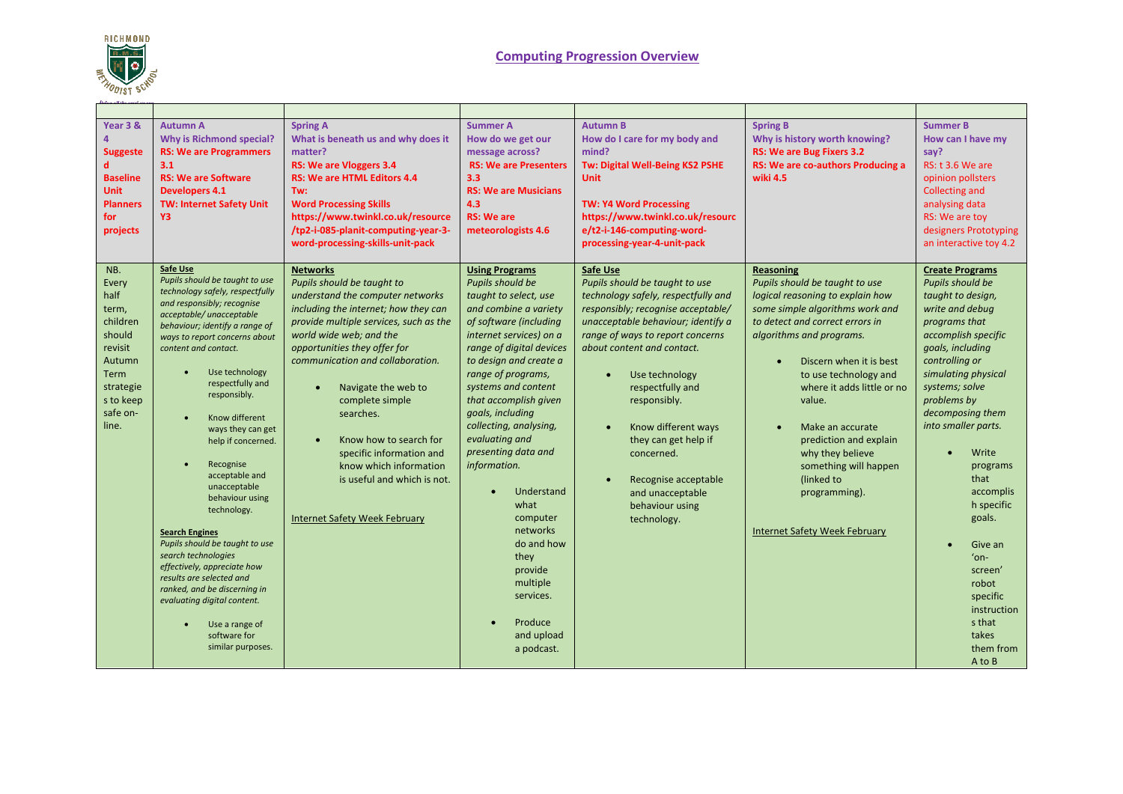

## **Computing Progression Overview**

| Year 3 &<br><b>Suggeste</b><br><b>Baseline</b><br><b>Unit</b><br><b>Planners</b><br>for<br>projects                             | <b>Autumn A</b><br><b>Why is Richmond special?</b><br><b>RS: We are Programmers</b><br>3.1<br><b>RS: We are Software</b><br><b>Developers 4.1</b><br><b>TW: Internet Safety Unit</b><br>Y3                                                                                                                                                                                                                                                                                                                                                                                                                                                                                                                                   | <b>Spring A</b><br>What is beneath us and why does it<br>matter?<br><b>RS: We are Vloggers 3.4</b><br><b>RS: We are HTML Editors 4.4</b><br>Tw:<br><b>Word Processing Skills</b><br>https://www.twinkl.co.uk/resource<br>/tp2-i-085-planit-computing-year-3-<br>word-processing-skills-unit-pack                                                                                                                                                                                              | <b>Summer A</b><br>How do we get our<br>message across?<br><b>RS: We are Presenters</b><br>3.3<br><b>RS: We are Musicians</b><br>4.3<br><b>RS: We are</b><br>meteorologists 4.6                                                                                                                                                                                                                                                                                                                                                                 | <b>Autumn B</b><br>How do I care for my body and<br>mind?<br>Tw: Digital Well-Being KS2 PSHE<br><b>Unit</b><br><b>TW: Y4 Word Processing</b><br>https://www.twinkl.co.uk/resourc<br>e/t2-i-146-computing-word-<br>processing-year-4-unit-pack                                                                                                                                                                                                 | <b>Spring B</b><br>Why is history worth knowing?<br>RS: We are Bug Fixers 3.2<br>RS: We are co-authors Producing a<br>wiki 4.5                                                                                                                                                                                                                                                                                                                  | <b>Summer B</b><br>How can I have my<br>say?<br><b>RS: t 3.6 We are</b><br>opinion pollsters<br><b>Collecting and</b><br>analysing data<br>RS: We are toy<br>designers Prototyping<br>an interactive toy 4.2                                                                                                                                                                                                                                         |
|---------------------------------------------------------------------------------------------------------------------------------|------------------------------------------------------------------------------------------------------------------------------------------------------------------------------------------------------------------------------------------------------------------------------------------------------------------------------------------------------------------------------------------------------------------------------------------------------------------------------------------------------------------------------------------------------------------------------------------------------------------------------------------------------------------------------------------------------------------------------|-----------------------------------------------------------------------------------------------------------------------------------------------------------------------------------------------------------------------------------------------------------------------------------------------------------------------------------------------------------------------------------------------------------------------------------------------------------------------------------------------|-------------------------------------------------------------------------------------------------------------------------------------------------------------------------------------------------------------------------------------------------------------------------------------------------------------------------------------------------------------------------------------------------------------------------------------------------------------------------------------------------------------------------------------------------|-----------------------------------------------------------------------------------------------------------------------------------------------------------------------------------------------------------------------------------------------------------------------------------------------------------------------------------------------------------------------------------------------------------------------------------------------|-------------------------------------------------------------------------------------------------------------------------------------------------------------------------------------------------------------------------------------------------------------------------------------------------------------------------------------------------------------------------------------------------------------------------------------------------|------------------------------------------------------------------------------------------------------------------------------------------------------------------------------------------------------------------------------------------------------------------------------------------------------------------------------------------------------------------------------------------------------------------------------------------------------|
| NB.<br>Every<br>half<br>term,<br>children<br>should<br>revisit<br>Autumn<br>Term<br>strategie<br>s to keep<br>safe on-<br>line. | <b>Safe Use</b><br>Pupils should be taught to use<br>technology safely, respectfully<br>and responsibly; recognise<br>acceptable/unacceptable<br>behaviour; identify a range of<br>ways to report concerns about<br>content and contact.<br>Use technology<br>$\bullet$<br>respectfully and<br>responsibly.<br>Know different<br>ways they can get<br>help if concerned.<br>Recognise<br>acceptable and<br>unacceptable<br>behaviour using<br>technology.<br><b>Search Engines</b><br>Pupils should be taught to use<br>search technologies<br>effectively, appreciate how<br>results are selected and<br>ranked, and be discerning in<br>evaluating digital content.<br>Use a range of<br>software for<br>similar purposes. | <b>Networks</b><br>Pupils should be taught to<br>understand the computer networks<br>including the internet; how they can<br>provide multiple services, such as the<br>world wide web; and the<br>opportunities they offer for<br>communication and collaboration.<br>Navigate the web to<br>complete simple<br>searches.<br>Know how to search for<br>$\bullet$<br>specific information and<br>know which information<br>is useful and which is not.<br><b>Internet Safety Week February</b> | <b>Using Programs</b><br>Pupils should be<br>taught to select, use<br>and combine a variety<br>of software (including<br>internet services) on a<br>range of digital devices<br>to design and create a<br>range of programs,<br>systems and content<br>that accomplish given<br>goals, including<br>collecting, analysing,<br>evaluating and<br>presenting data and<br>information.<br>Understand<br>$\bullet$<br>what<br>computer<br>networks<br>do and how<br>they<br>provide<br>multiple<br>services.<br>Produce<br>and upload<br>a podcast. | Safe Use<br>Pupils should be taught to use<br>technology safely, respectfully and<br>responsibly; recognise acceptable/<br>unacceptable behaviour; identify a<br>range of ways to report concerns<br>about content and contact.<br>Use technology<br>$\bullet$<br>respectfully and<br>responsibly.<br>Know different ways<br>they can get help if<br>concerned.<br>Recognise acceptable<br>and unacceptable<br>behaviour using<br>technology. | Reasoning<br>Pupils should be taught to use<br>logical reasoning to explain how<br>some simple algorithms work and<br>to detect and correct errors in<br>algorithms and programs.<br>Discern when it is best<br>to use technology and<br>where it adds little or no<br>value.<br>Make an accurate<br>prediction and explain<br>why they believe<br>something will happen<br>(linked to<br>programming).<br><b>Internet Safety Week February</b> | <b>Create Programs</b><br>Pupils should be<br>taught to design,<br>write and debug<br>programs that<br>accomplish specific<br>goals, including<br>controlling or<br>simulating physical<br>systems; solve<br>problems by<br>decomposing them<br>into smaller parts.<br>Write<br>programs<br>that<br>accomplis<br>h specific<br>goals.<br>Give an<br>$'$ on-<br>screen'<br>robot<br>specific<br>instruction<br>s that<br>takes<br>them from<br>A to B |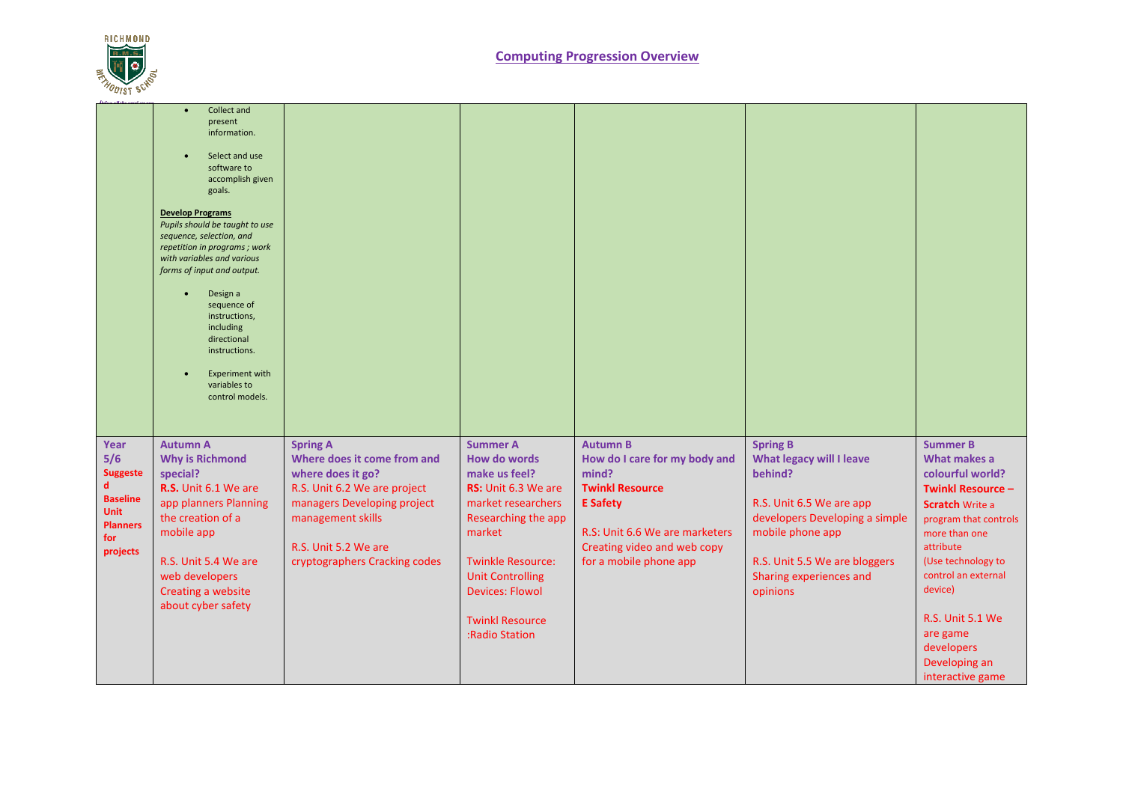

|                                                                                                             | Collect and<br>present<br>information.<br>Select and use<br>software to<br>accomplish given<br>goals.<br><b>Develop Programs</b><br>Pupils should be taught to use<br>sequence, selection, and<br>repetition in programs; work<br>with variables and various<br>forms of input and output.<br>Design a<br>sequence of<br>instructions,<br>including<br>directional<br>instructions.<br><b>Experiment with</b><br>variables to<br>control models. |                                                                                                                                                                                                                  |                                                                                                                                                                                                                                                                    |                                                                                                                                                                                                   |                                                                                                                                                                                                                         |                                                                                                                                                                                                                                                                                                             |
|-------------------------------------------------------------------------------------------------------------|--------------------------------------------------------------------------------------------------------------------------------------------------------------------------------------------------------------------------------------------------------------------------------------------------------------------------------------------------------------------------------------------------------------------------------------------------|------------------------------------------------------------------------------------------------------------------------------------------------------------------------------------------------------------------|--------------------------------------------------------------------------------------------------------------------------------------------------------------------------------------------------------------------------------------------------------------------|---------------------------------------------------------------------------------------------------------------------------------------------------------------------------------------------------|-------------------------------------------------------------------------------------------------------------------------------------------------------------------------------------------------------------------------|-------------------------------------------------------------------------------------------------------------------------------------------------------------------------------------------------------------------------------------------------------------------------------------------------------------|
| Year<br>5/6<br><b>Suggeste</b><br>d<br><b>Baseline</b><br><b>Unit</b><br><b>Planners</b><br>for<br>projects | <b>Autumn A</b><br><b>Why is Richmond</b><br>special?<br>R.S. Unit 6.1 We are<br>app planners Planning<br>the creation of a<br>mobile app<br>R.S. Unit 5.4 We are<br>web developers<br>Creating a website<br>about cyber safety                                                                                                                                                                                                                  | <b>Spring A</b><br>Where does it come from and<br>where does it go?<br>R.S. Unit 6.2 We are project<br>managers Developing project<br>management skills<br>R.S. Unit 5.2 We are<br>cryptographers Cracking codes | <b>Summer A</b><br><b>How do words</b><br>make us feel?<br>RS: Unit 6.3 We are<br>market researchers<br>Researching the app<br>market<br><b>Twinkle Resource:</b><br><b>Unit Controlling</b><br><b>Devices: Flowol</b><br><b>Twinkl Resource</b><br>:Radio Station | <b>Autumn B</b><br>How do I care for my body and<br>mind?<br><b>Twinkl Resource</b><br><b>E</b> Safety<br>R.S: Unit 6.6 We are marketers<br>Creating video and web copy<br>for a mobile phone app | <b>Spring B</b><br><b>What legacy will I leave</b><br>behind?<br>R.S. Unit 6.5 We are app<br>developers Developing a simple<br>mobile phone app<br>R.S. Unit 5.5 We are bloggers<br>Sharing experiences and<br>opinions | <b>Summer B</b><br>What makes a<br>colourful world?<br><b>Twinkl Resource -</b><br><b>Scratch Write a</b><br>program that controls<br>more than one<br>attribute<br>(Use technology to<br>control an external<br>device)<br>R.S. Unit 5.1 We<br>are game<br>developers<br>Developing an<br>interactive game |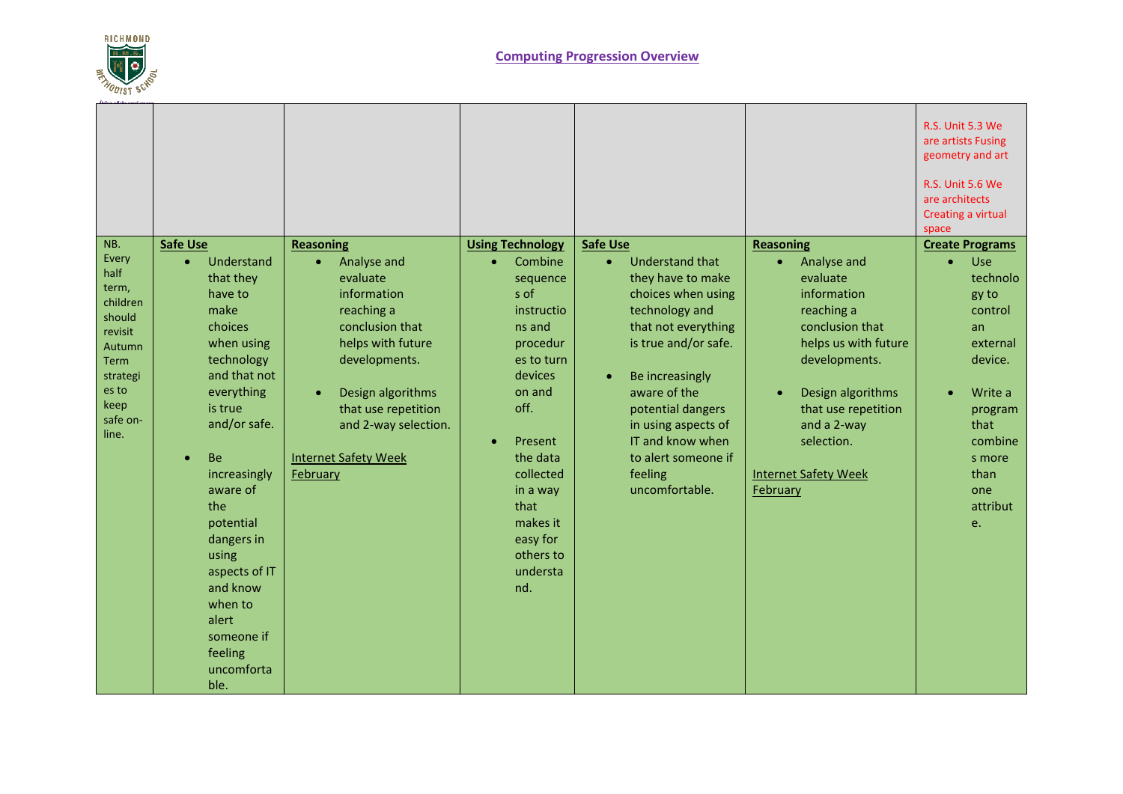

|                                                                                                                                                                                                                                                                                                                                                                                                                                                                                                                                                               |                                                                                                                                                                                                                                                                                                                                                            |                                                                                                                                                                                                                                                                                                                                                                                                                                                                          |                                                                                                                                                                                                                                                                       | <b>R.S. Unit 5.6 We</b><br>are architects<br>Creating a virtual<br>space                                                                                                              |
|---------------------------------------------------------------------------------------------------------------------------------------------------------------------------------------------------------------------------------------------------------------------------------------------------------------------------------------------------------------------------------------------------------------------------------------------------------------------------------------------------------------------------------------------------------------|------------------------------------------------------------------------------------------------------------------------------------------------------------------------------------------------------------------------------------------------------------------------------------------------------------------------------------------------------------|--------------------------------------------------------------------------------------------------------------------------------------------------------------------------------------------------------------------------------------------------------------------------------------------------------------------------------------------------------------------------------------------------------------------------------------------------------------------------|-----------------------------------------------------------------------------------------------------------------------------------------------------------------------------------------------------------------------------------------------------------------------|---------------------------------------------------------------------------------------------------------------------------------------------------------------------------------------|
| NB.<br><b>Safe Use</b><br><b>Reasoning</b><br>Every<br>Understand<br>$\bullet$<br>$\bullet$<br>half<br>that they<br>term,<br>have to<br>children<br>make<br>should<br>choices<br>revisit<br>when using<br>Autumn<br>technology<br><b>Term</b><br>and that not<br>strategi<br>es to<br>everything<br>$\bullet$<br>keep<br>is true<br>safe on-<br>and/or safe.<br>line.<br><b>Be</b><br>increasingly<br>February<br>aware of<br>the<br>potential<br>dangers in<br>using<br>aspects of IT<br>and know<br>when to<br>alert<br>someone if<br>feeling<br>uncomforta | <b>Using Technology</b><br>Analyse and<br>$\bullet$<br>evaluate<br>s of<br>information<br>reaching a<br>conclusion that<br>ns and<br>helps with future<br>developments.<br>devices<br>Design algorithms<br>on and<br>off.<br>that use repetition<br>and 2-way selection.<br>Present<br>$\bullet$<br><b>Internet Safety Week</b><br>that<br>easy for<br>nd. | <b>Safe Use</b><br>Understand that<br>Combine<br>$\bullet$<br>they have to make<br>sequence<br>choices when using<br>technology and<br>instructio<br>that not everything<br>is true and/or safe.<br>procedur<br>es to turn<br>Be increasingly<br>$\bullet$<br>aware of the<br>potential dangers<br>in using aspects of<br>IT and know when<br>the data<br>to alert someone if<br>collected<br>feeling<br>uncomfortable.<br>in a way<br>makes it<br>others to<br>understa | <b>Reasoning</b><br>Analyse and<br>$\bullet$<br>evaluate<br>information<br>reaching a<br>conclusion that<br>helps us with future<br>developments.<br>Design algorithms<br>that use repetition<br>and a 2-way<br>selection.<br><b>Internet Safety Week</b><br>February | <b>Create Programs</b><br><b>Use</b><br>technolo<br>gy to<br>control<br>an<br>external<br>device.<br>Write a<br>program<br>that<br>combine<br>s more<br>than<br>one<br>attribut<br>e. |